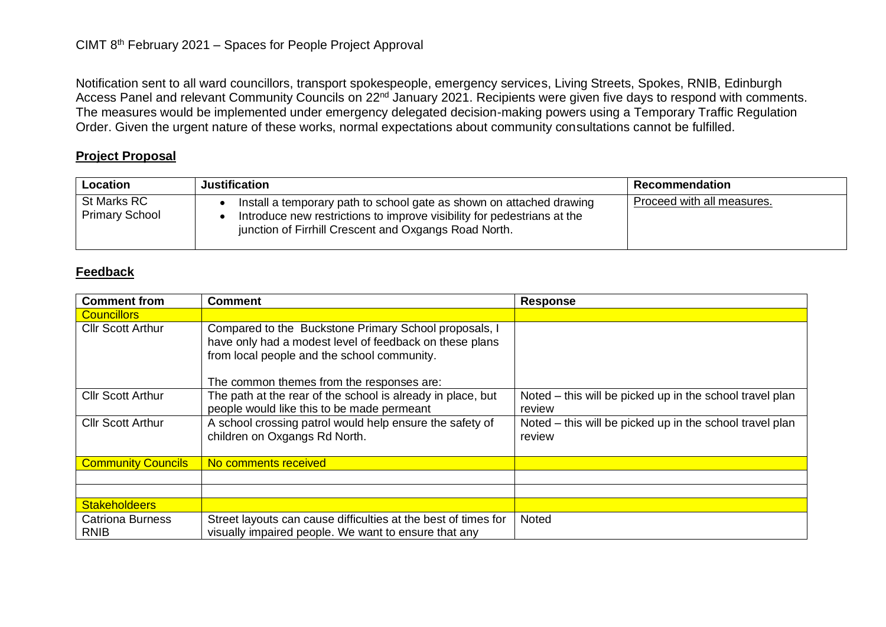Notification sent to all ward councillors, transport spokespeople, emergency services, Living Streets, Spokes, RNIB, Edinburgh Access Panel and relevant Community Councils on 22<sup>nd</sup> January 2021. Recipients were given five days to respond with comments. The measures would be implemented under emergency delegated decision-making powers using a Temporary Traffic Regulation Order. Given the urgent nature of these works, normal expectations about community consultations cannot be fulfilled.

## **Project Proposal**

| Location                             | <b>Justification</b>                                                                                                                                                                                     | Recommendation             |
|--------------------------------------|----------------------------------------------------------------------------------------------------------------------------------------------------------------------------------------------------------|----------------------------|
| St Marks RC<br><b>Primary School</b> | Install a temporary path to school gate as shown on attached drawing<br>Introduce new restrictions to improve visibility for pedestrians at the<br>junction of Firrhill Crescent and Oxgangs Road North. | Proceed with all measures. |

## **Feedback**

| <b>Comment from</b>                    | <b>Comment</b>                                                                                                                                                  | <b>Response</b>                                                    |
|----------------------------------------|-----------------------------------------------------------------------------------------------------------------------------------------------------------------|--------------------------------------------------------------------|
| <b>Councillors</b>                     |                                                                                                                                                                 |                                                                    |
| <b>Cllr Scott Arthur</b>               | Compared to the Buckstone Primary School proposals, I<br>have only had a modest level of feedback on these plans<br>from local people and the school community. |                                                                    |
|                                        | The common themes from the responses are:                                                                                                                       |                                                                    |
| <b>Cllr Scott Arthur</b>               | The path at the rear of the school is already in place, but<br>people would like this to be made permeant                                                       | Noted – this will be picked up in the school travel plan<br>review |
| <b>Cllr Scott Arthur</b>               | A school crossing patrol would help ensure the safety of<br>children on Oxgangs Rd North.                                                                       | Noted – this will be picked up in the school travel plan<br>review |
| <b>Community Councils</b>              | No comments received                                                                                                                                            |                                                                    |
|                                        |                                                                                                                                                                 |                                                                    |
|                                        |                                                                                                                                                                 |                                                                    |
| <b>Stakeholdeers</b>                   |                                                                                                                                                                 |                                                                    |
| <b>Catriona Burness</b><br><b>RNIB</b> | Street layouts can cause difficulties at the best of times for<br>visually impaired people. We want to ensure that any                                          | Noted                                                              |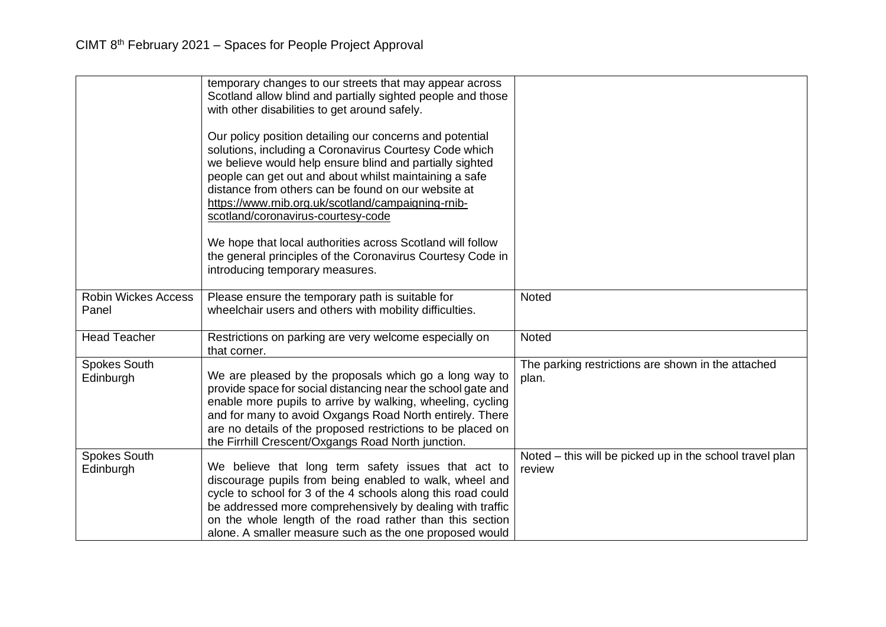|                                     | temporary changes to our streets that may appear across<br>Scotland allow blind and partially sighted people and those<br>with other disabilities to get around safely.<br>Our policy position detailing our concerns and potential<br>solutions, including a Coronavirus Courtesy Code which<br>we believe would help ensure blind and partially sighted<br>people can get out and about whilst maintaining a safe<br>distance from others can be found on our website at<br>https://www.rnib.org.uk/scotland/campaigning-rnib-<br>scotland/coronavirus-courtesy-code |                                                                    |
|-------------------------------------|------------------------------------------------------------------------------------------------------------------------------------------------------------------------------------------------------------------------------------------------------------------------------------------------------------------------------------------------------------------------------------------------------------------------------------------------------------------------------------------------------------------------------------------------------------------------|--------------------------------------------------------------------|
|                                     | We hope that local authorities across Scotland will follow<br>the general principles of the Coronavirus Courtesy Code in<br>introducing temporary measures.                                                                                                                                                                                                                                                                                                                                                                                                            |                                                                    |
| <b>Robin Wickes Access</b><br>Panel | Please ensure the temporary path is suitable for<br>wheelchair users and others with mobility difficulties.                                                                                                                                                                                                                                                                                                                                                                                                                                                            | Noted                                                              |
| <b>Head Teacher</b>                 | Restrictions on parking are very welcome especially on<br>that corner.                                                                                                                                                                                                                                                                                                                                                                                                                                                                                                 | <b>Noted</b>                                                       |
| <b>Spokes South</b><br>Edinburgh    | We are pleased by the proposals which go a long way to<br>provide space for social distancing near the school gate and<br>enable more pupils to arrive by walking, wheeling, cycling<br>and for many to avoid Oxgangs Road North entirely. There<br>are no details of the proposed restrictions to be placed on<br>the Firrhill Crescent/Oxgangs Road North junction.                                                                                                                                                                                                  | The parking restrictions are shown in the attached<br>plan.        |
| <b>Spokes South</b><br>Edinburgh    | We believe that long term safety issues that act to<br>discourage pupils from being enabled to walk, wheel and<br>cycle to school for 3 of the 4 schools along this road could<br>be addressed more comprehensively by dealing with traffic<br>on the whole length of the road rather than this section<br>alone. A smaller measure such as the one proposed would                                                                                                                                                                                                     | Noted – this will be picked up in the school travel plan<br>review |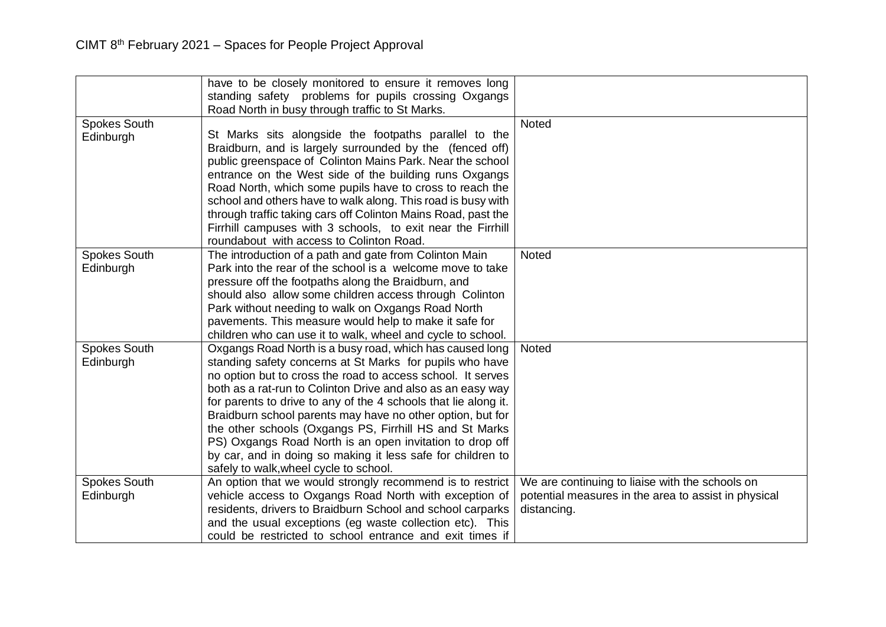|                                  | have to be closely monitored to ensure it removes long<br>standing safety problems for pupils crossing Oxgangs                                                                     |                                                      |
|----------------------------------|------------------------------------------------------------------------------------------------------------------------------------------------------------------------------------|------------------------------------------------------|
|                                  | Road North in busy through traffic to St Marks.                                                                                                                                    |                                                      |
| <b>Spokes South</b><br>Edinburgh | St Marks sits alongside the footpaths parallel to the<br>Braidburn, and is largely surrounded by the (fenced off)<br>public greenspace of Colinton Mains Park. Near the school     | <b>Noted</b>                                         |
|                                  | entrance on the West side of the building runs Oxgangs<br>Road North, which some pupils have to cross to reach the<br>school and others have to walk along. This road is busy with |                                                      |
|                                  | through traffic taking cars off Colinton Mains Road, past the<br>Firrhill campuses with 3 schools, to exit near the Firrhill<br>roundabout with access to Colinton Road.           |                                                      |
| <b>Spokes South</b>              | The introduction of a path and gate from Colinton Main                                                                                                                             | Noted                                                |
| Edinburgh                        | Park into the rear of the school is a welcome move to take                                                                                                                         |                                                      |
|                                  | pressure off the footpaths along the Braidburn, and                                                                                                                                |                                                      |
|                                  | should also allow some children access through Colinton                                                                                                                            |                                                      |
|                                  | Park without needing to walk on Oxgangs Road North                                                                                                                                 |                                                      |
|                                  | pavements. This measure would help to make it safe for                                                                                                                             |                                                      |
|                                  | children who can use it to walk, wheel and cycle to school.                                                                                                                        |                                                      |
| <b>Spokes South</b>              | Oxgangs Road North is a busy road, which has caused long                                                                                                                           | <b>Noted</b>                                         |
| Edinburgh                        | standing safety concerns at St Marks for pupils who have                                                                                                                           |                                                      |
|                                  | no option but to cross the road to access school. It serves                                                                                                                        |                                                      |
|                                  | both as a rat-run to Colinton Drive and also as an easy way                                                                                                                        |                                                      |
|                                  | for parents to drive to any of the 4 schools that lie along it.                                                                                                                    |                                                      |
|                                  | Braidburn school parents may have no other option, but for                                                                                                                         |                                                      |
|                                  | the other schools (Oxgangs PS, Firrhill HS and St Marks<br>PS) Oxgangs Road North is an open invitation to drop off                                                                |                                                      |
|                                  | by car, and in doing so making it less safe for children to                                                                                                                        |                                                      |
|                                  | safely to walk, wheel cycle to school.                                                                                                                                             |                                                      |
| Spokes South                     | An option that we would strongly recommend is to restrict                                                                                                                          | We are continuing to liaise with the schools on      |
| Edinburgh                        | vehicle access to Oxgangs Road North with exception of                                                                                                                             | potential measures in the area to assist in physical |
|                                  | residents, drivers to Braidburn School and school carparks                                                                                                                         | distancing.                                          |
|                                  | and the usual exceptions (eg waste collection etc). This                                                                                                                           |                                                      |
|                                  | could be restricted to school entrance and exit times if                                                                                                                           |                                                      |